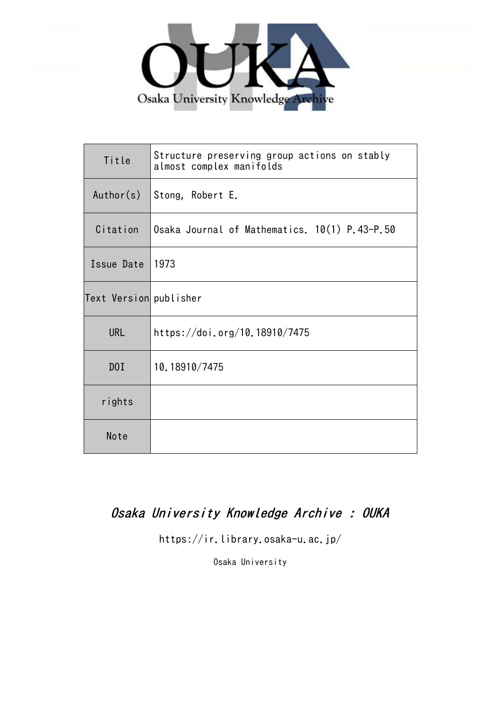

| Title                  | Structure preserving group actions on stably<br>almost complex manifolds |
|------------------------|--------------------------------------------------------------------------|
| Author(s)              | Stong, Robert E.                                                         |
| Citation               | Osaka Journal of Mathematics. 10(1) P.43-P.50                            |
| Issue Date             | 1973                                                                     |
| Text Version publisher |                                                                          |
| <b>URL</b>             | https://doi.org/10.18910/7475                                            |
| D0I                    | 10.18910/7475                                                            |
| rights                 |                                                                          |
| Note                   |                                                                          |

# Osaka University Knowledge Archive : OUKA

https://ir.library.osaka-u.ac.jp/

Osaka University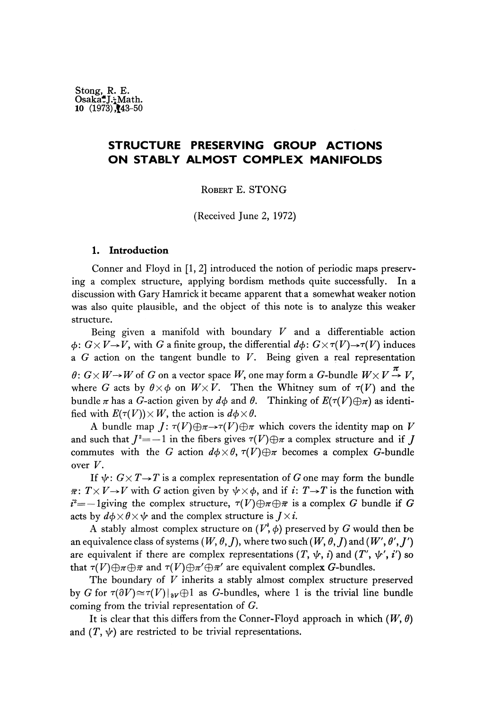## **STRUCTURE PRESERVING GROUP ACTIONS ON STABLY ALMOST COMPLEX MANIFOLDS**

ROBERT E. STONG

(Received June 2, 1972)

### **1. Introduction**

Conner and Floyd in [1, 2] introduced the notion of periodic maps preserving a complex structure, applying bordism methods quite successfully. In a discussion with Gary Hamrick it became apparent that a somewhat weaker notion was also quite plausible, and the object of this note is to analyze this weaker structure.

Being given a manifold with boundary *V* and a differentiable action  $\phi: G \times V \rightarrow V$ , with *G* a finite group, the differential  $d\phi: G \times \tau(V) \rightarrow \tau(V)$  induces a *G* action on the tangent bundle to *V.* Being given a real representation  $\theta: G \times W \rightarrow W$  of *G* on a vector space *W*, one may form a *G*-bundle  $W \times V \stackrel{\pi}{\rightarrow} V$ . where *G* acts by  $\theta \times \phi$  on  $W \times V$ . Then the Whitney sum of  $\tau(V)$  and the bundle *π* has a G-action given by *dφ* and *θ.* Thinking of *E(r(V)@π)* as identified with  $E(\tau(V)) \times W$ , the action is  $d\phi \times \theta$ .

A bundle map  $J: \tau(V) \oplus \pi \rightarrow \tau(V) \oplus \pi$  which covers the identity map on *V* and such that  $J^2 = -1$  in the fibers gives  $\tau(V) \oplus \pi$  a complex structure and if  $J$ commutes with the *G* action  $d\phi \times \theta$ ,  $\tau(V) \oplus \pi$  becomes a complex *G*-bundle over *V.*

If  $\psi: G \times T \rightarrow T$  is a complex representation of G one may form the bundle  $\overline{\pi}$ :  $T \times V \rightarrow V$  with G action given by  $\psi \times \phi$ , and if *i*:  $T \rightarrow T$  is the function with  $i^2$  = -1giving the complex structure,  $\tau(V) \oplus \pi \oplus \bar{\pi}$  is a complex G bundle if G acts by  $d\phi \times \theta \times \psi$  and the complex structure is  $J \times i$ .

A stably almost complex structure on  $(V', \phi)$  preserved by G would then be an equivalence class of systems  $(W, \theta, I)$ , where two such  $(W, \theta, I)$  and  $(W', \theta', I')$ are equivalent if there are complex representations  $(T, \psi, i)$  and  $(T', \psi', i')$  so that  $\tau(V) \oplus \pi \oplus \bar{\pi}$  and  $\tau(V) \oplus \pi' \oplus \bar{\pi}'$  are equivalent complex G-bundles.

The boundary of *V* inherits a stably almost complex structure preserved by G for  $\tau(\partial V) \cong \tau(V)|_{\partial V} \oplus 1$  as G-bundles, where 1 is the trivial line bundle coming from the trivial representation of G.

It is clear that this differs from the Conner-Floyd approach in which  $(W, \theta)$ and  $(T, \psi)$  are restricted to be trivial representations.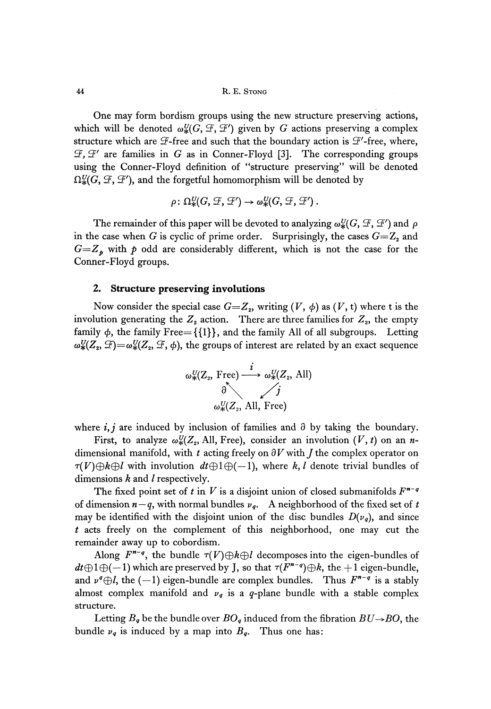One may form bordism groups using the new structure preserving actions, which will be denoted  $\omega_*^U(G, \mathcal{F}, \mathcal{F}')$  given by G actions preserving a complex structure which are  $\mathcal F$ -free and such that the boundary action is  $\mathcal F'$ -free, where, *3, 3'* are families in *G* as in Conner-Floyd [3]. The corresponding groups using the Conner-Floyd definition of "structure preserving" will be denoted  $\Omega_*^U(G, \mathcal{F}, \mathcal{F}')$ , and the forgetful homomorphism will be denoted by

$$
\rho\colon \Omega^U_*(G,\mathcal{F},\mathcal{F}') \to \omega^U_*(G,\mathcal{F},\mathcal{F}')\,.
$$

The remainder of this paper will be devoted to analyzing  $\omega_{\star}^U(G, \mathcal{F}, \mathcal{F}')$  and  $\rho$ in the case when *G* is cyclic of prime order. Surprisingly, the cases  $G = Z_2$  and  $G=Z_p$  with  $p$  odd are considerably different, which is not the case for the Conner-Floyd groups.

#### **2. Structure preserving involutions**

Now consider the special case  $G = Z_2$ , writing  $(V, \phi)$  as  $(V, t)$  where t is the involution generating the  $Z_2$  action. There are three families for  $Z_2$ , the empty family  $\phi$ , the family Free= {{1}}, and the family All of all subgroups. Letting ω $\omega^{U}_*(Z_{\rm z},\mathcal{F}){=}\omega^{U}_*(Z_{\rm z},\mathcal{F},\phi),$  the groups of interest are related by an exact sequence



where  $i, j$  are induced by inclusion of families and  $\partial$  by taking the boundary.

First, to analyze  $\omega_*^U(Z_2,$  All, Free), consider an involution  $(V, t)$  on an *n*dimensional manifold, with  $t$  acting freely on  $\partial V$  with  $J$  the complex operator on  $\tau(V) \oplus k \oplus l$  with involution  $dt \oplus 1 \oplus (-1)$ , where k, l denote trivial bundles of dimensions *k* and / respectively.

The fixed point set of t in V is a disjoint union of closed submanifolds  $F^{\prime\prime}$ <sup>-q</sup> of dimension *n — q,* with normal bundles *v<sup>q</sup> .* A neighborhood of the fixed set of *t* may be identified with the disjoint union of the disc bundles  $D(v_q)$ , and since *t* acts freely on the complement of this neighborhood, one may cut the remainder away up to cobordism.

Along  $F^{n-q}$ , the bundle  $\tau(V) \oplus k \oplus l$  decomposes into the eigen-bundles of  $dt \oplus 1 \oplus (-1)$  which are preserved by J, so that  $\tau(F^{n-q}) \oplus k$ , the  $+1$  eigen-bundle, and  $\nu^q \oplus l$ , the  $(-1)$  eigen-bundle are complex bundles. Thus  $F^{n-q}$  is a stably almost complex manifold and  $\nu_q$  is a q-plane bundle with a stable complex structure.

Letting  $B_q$  be the bundle over  $BO_q$  induced from the fibration  $BU\rightarrow BO,$  the bundle  $\nu_q$  is induced by a map into  $B_q$ . Thus one has: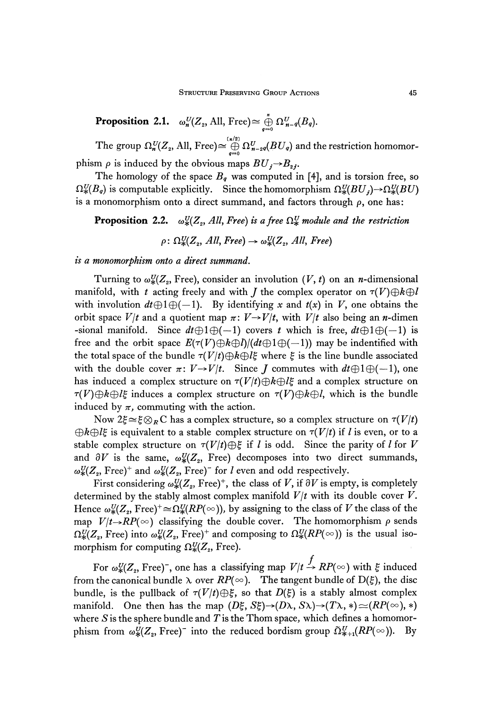**Proposition 2.1.**  $\omega_n^U(Z_2, \text{All, Free}) \cong \bigoplus_{\alpha=1}^n \Omega_{n-q}^U(B_q).$ 

The group  $\Omega_n^U(Z_z, \text{All, Free}) \cong \bigoplus_{q=0}^{(n/2)} \Omega_{n-2q}^U(BU_q)$  and the restriction homomorphism  $\rho$  is induced by the obvious maps  $BU_j \rightarrow B_{2j}$ .

The homology of the space *B<sup>q</sup>* was computed in [4], and is torsion free, so  $Ω_{\rm *}^U\!(B_q)$  is computable explicitly. Since the homomorphism  $Ω_{\rm *}^U\!(BU_j)$   $\rightarrow$   $Ω_{\rm *}^U\!(BU)$ is a monomorphism onto a direct summand, and factors through  $\rho$ , one has:

**Proposition 2.2.**  $\omega_{*}^{U}(Z_{2}, All, Free)$  is a free  $\Omega_{*}^{U}$  module and the restriction

 $\rho \colon \Omega^U_*(Z_z, \textit{All}, \textit{Free}) \to \omega^U_*(Z_z, \textit{All}, \textit{Free})$ 

*is a monomorphism onto a direct summand.*

Turning to  $\omega_*^U(Z_{\scriptscriptstyle 2},$  Free), consider an involution  $(V,t)$  on an *n*-dimensional manifold, with t acting freely and with *J* the complex operator on  $\tau(V)\oplus k\oplus l$ with involution  $dt \oplus 1 \oplus (-1)$ . By identifying x and  $t(x)$  in V, one obtains the orbit space  $V/t$  and a quotient map  $\pi: V \rightarrow V/t$ , with  $V/t$  also being an *n*-dimen -sional manifold. Since  $dt \oplus 1 \oplus (-1)$  covers t which is free,  $dt \oplus 1 \oplus (-1)$  is free and the orbit space  $E(\tau(V)\oplus k\oplus l)/(dt\oplus l\oplus(-1))$  may be indentified with the total space of the bundle  $\tau(V|t) \oplus k \oplus l\xi$  where  $\xi$  is the line bundle associated with the double cover  $\pi: V \rightarrow V/t$ . Since *J* commutes with  $dt \oplus 1 \oplus (-1)$ , one has induced a complex structure on  $\tau(V/t)\oplus k\oplus l\xi$  and a complex structure on  $\tau(V) \oplus k \oplus l\xi$  induces a complex structure on  $\tau(V) \oplus k \oplus l$ , which is the bundle induced by  $\pi$ , commuting with the action.

Now  $2\xi \cong \xi \otimes_R C$  has a complex structure, so a complex structure on  $\tau(V/t)$ *®k@lξ* is equivalent to a stable complex structure on *τ(V/t)* if / is even, or to a stable complex structure on  $\tau(V/t) \oplus \xi$  if l is odd. Since the parity of l for V and  $\partial V$  is the same,  $\omega_{\ast}^U(Z_{2},$  Free) decomposes into two direct summands,  $\omega^{U}_{*}(Z_{2},\, {\rm Free})^{+}$  and  $\omega^{U}_{*}(Z_{2},\, {\rm Free})^{-}$  for  $l$  even and odd respectively.

First considering  $\omega^{U}_{*}(Z_{\scriptscriptstyle 2}, {\rm Free})^{+}$ , the class of  $V$ , if  $\partial V$  is empty, is completely determined by the stably almost complex manifold *V/t* with its double cover *V.* Hence  $\omega_{*}^U\!(Z_{\scriptscriptstyle 2},$  Free) $^+\!\!\cong\!\Omega_{*}^U\!(RP(\infty))$ , by assigning to the class of  $V$  the class of the map  $V/t \rightarrow RP(\infty)$  classifying the double cover. The homomorphism  $\rho$  sends  $\Omega_*^U\!(Z_{\scriptscriptstyle 2},$  Free) into  $\omega_*^U\!(Z_{\scriptscriptstyle 2},$  Free)<sup>+</sup> and composing to  $\Omega_*^U\!(RP(\mathbb{c}))$  is the usual isomorphism for computing  $\Omega^{U}_*(Z_{\rm z},\,{\rm Free}).$ 

For  $\omega_*^U(Z_z,$  Free)<sup>-</sup>, one has a classifying map  $V/t \to RP(\infty)$  with  $\xi$  induced from the canonical bundle  $\lambda$  over  $RP(\infty)$ . The tangent bundle of D( $\xi$ ), the disc bundle, is the pullback of  $\tau(V/t)\oplus \xi$ , so that  $D(\xi)$  is a stably almost complex manifold. One then has the map  $(D\xi, S\xi) \rightarrow (D\lambda, S\lambda) \rightarrow (T\lambda, *) \simeq (RP(\infty), *)$ where *S* is the sphere bundle and *T* is the Thom space, which defines a homomorphism from  $\omega_*^{\scriptscriptstyle U}(Z_{\scriptscriptstyle 2},$  Free) ${}^-$  into the reduced bordism group  $\tilde\Omega_{\rm \ast+1}^{\scriptscriptstyle U}(RP(\infty)).$  By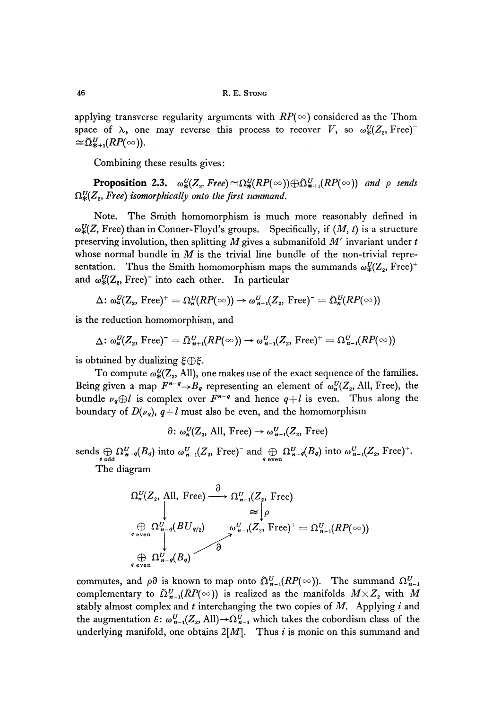applying transverse regularity arguments with  $RP(\infty)$  considered as the Thom space of  $\lambda$ , one may reverse this process to recover V, so  $\omega_*^U(Z_2, \text{Free})$  $\cong \tilde{\Omega}_{*+1}^U(RP(\infty)).$ 

Combining these results gives:

**Proposition 2.3.**  $\omega_{*}^{U}(Z_{2}.$  Free) $\cong \Omega_{*}^{U}(RP(\infty)) \oplus \tilde{\Omega}_{*+1}^{U}(RP(\infty))$  and  $\rho$  sends  $\Omega_*^{\text{U}}(Z_{\text{\tiny{2}}},$  Free) isomorphically onto the first summand.

Note. The Smith homomorphism is much more reasonably defined in  $\omega_{\mathcal{H}}^{\mathcal{U}}(Z, \text{Free})$  than in Conner-Floyd's groups. Specifically, if  $(M, t)$  is a structure preserving involution, then splitting *M* gives a submanifold *M'* invariant under *t* whose normal bundle in *M* is the trivial line bundle of the non-trivial representation. Thus the Smith homomorphism maps the summands  $\omega_*^U(Z_{2},\mathrm{Free})^+$ and  $\omega_{*}^{U}(Z_{z},\mathrm{Free})^{-}$  into each other. In particular

$$
\Delta: \omega_n^U(Z_z, \operatorname{Free})^+ = \Omega_n^U(RP(\infty)) \to \omega_{n-1}^U(Z_z, \operatorname{Free})^- = \tilde{\Omega}_n^U(RP(\infty))
$$

is the reduction homomorphism, and

$$
\Delta \colon \omega_n^U(Z_\mathit{2}, \, \text{Free})^{-} = \tilde{\Omega}_{n+1}^U(RP(\infty)) \to \omega_{n-1}^U(Z_\mathit{2}, \, \text{Free})^{+} = \Omega_{n-1}^U(RP(\infty))
$$

is obtained by dualizing *ξ(&ξ.*

To compute  $\omega_*^{\textit{U}}(\textit{Z}_2,\text{All})$ , one makes use of the exact sequence of the families. Being given a map  $F^{n-q} \rightarrow B_q$  representing an element of  $\omega_n^U(Z_2, \text{All}, \text{Free})$ , the bundle  $\nu_q \oplus l$  is complex over  $F^{n-q}$  and hence  $q+l$  is even. Thus along the boundary of  $D(v_q)$ ,  $q+l$  must also be even, and the homomorphism

 $\partial\colon \omega_n^U(Z_2, \text{ All, Free}) \to \omega_{n-1}^U(Z_2, \text{ Free})$ 

sends  $\bigoplus_{q \text{ odd}} \Omega_{n-q}^U(B_q)$  into  $\omega_{n-1}^U(Z_2, \text{ Free})^-$  and  $\bigoplus_{q \text{ even}} \Omega_{n-q}^U(B_q)$  into  $\omega_{n-1}^U(Z_2, \text{ Free})^+$ .<br>The diagram<br> $\Omega_n^U(Z_2, \text{ All, Free}) \xrightarrow{\partial} \Omega_{n-1}^U(Z_2, \text{ Free})$ 

The diagram

$$
\Omega_n^U(Z_2, \text{ All, Free}) \xrightarrow{\partial} \Omega_{n-1}^U(Z_2, \text{ Free})
$$
\n
$$
\underset{\phi \text{ even}}{\oplus} \Omega_{n-q}^U(BU_{q/2}) \qquad \omega_{n-1}^U(Z_2, \text{ Free})^+ = \Omega_{n-1}^U(RP(\infty))
$$
\n
$$
\underset{\phi \text{ even}}{\oplus} \Omega_{n-q}^U(B_q) \qquad \qquad \partial
$$

commutes, and  $\rho\partial$  is known to map onto  $\tilde{\Omega}^U_{n-1}(RP(\infty))$ . The summand  $\Omega^U_{n-1}$  $\mathfrak{complementary}$  to  $\tilde{\Omega}^U_{\vphantom{\Omega} n-1}(RP(\infty))$  is realized as the manifolds  $M\times Z_z$  with  $M$ stably almost complex and *t* interchanging the two copies of M. Applying *i* and the augmentation  $\varepsilon$ :  $\omega^U_{n-1}(Z_{2}, \text{All}){\rightarrow}\Omega^U_{n-1}$  which takes the cobordism class of the underlying manifold, one obtains  $2[M]$ . Thus *i* is monic on this summand and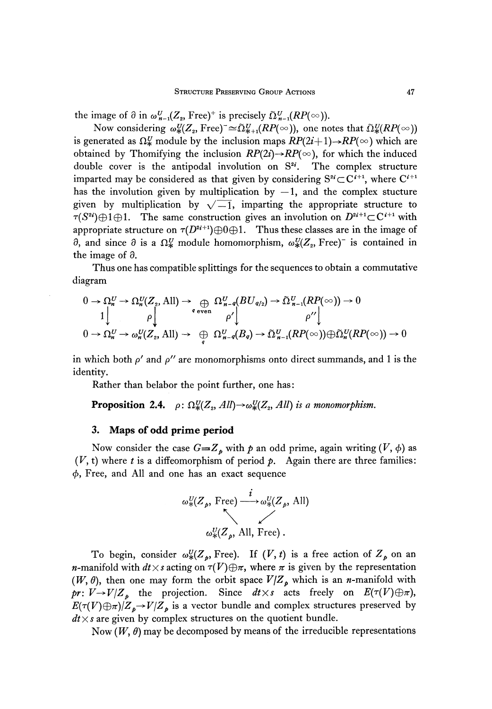the image of  $\partial$  in  $\omega_{n-1}^{U}(Z_{2}, \text{Free})^{+}$  is precisely

Now considering  $\omega_{\rm *}^{\rm U}(Z_{\rm z}, {\rm Free})^{\texttt{-}}$   $\cong$   $\tilde{\Omega}^{\rm U}_{\rm *+1}(RP(\infty))$ , one notes that is generated as  $\Omega^U_*$  module by the inclusion maps  $RP(2i+1) \rightarrow RP(\infty)$  which are obtained by Thomifying the inclusion  $RP(2i) {\rightarrow} RP(\infty)$ , for which the induced double cover is the antipodal involution on  $S^{2i}$ . The complex structure imparted may be considered as that given by considering  $S^{2i} \subset C^{i+1}$ , where  $C^{i+1}$ has the involution given by multiplication by  $-1$ , and the complex stucture given by multiplication by  $\sqrt{-1}$ , imparting the appropriate structure to  $\tau(S^{2i}) \oplus 1 \oplus 1$ . The same construction gives an involution on  $D^{2i+1} \subset \mathbb{C}^{i+1}$  with appropriate structure on  $\tau(D^{2i+1})\oplus 0 \oplus 1$ . Thus these classes are in the image of  $\partial$ , and since  $\partial$  is a Ω<sup>U</sup> module homomorphism,  $\omega_{\rm *}^U(Z_{\rm z},\rm{Free})^-$  is contained in the image of  $\partial$ .

Thus one has compatible splittings for the sequences to obtain a commutative diagram

\n The equation is:\n 
$$
\Omega_n^U \to \Omega_n^U(Z_2, \text{All}) \to \bigoplus_{q \text{ even}} \Omega_{n-q}^U(BU_{q/2}) \to \tilde{\Omega}_{n-1}^U(RP(\infty)) \to 0
$$
\n

\n\n $0 \to \Omega_n^U \to \omega_n^U(Z_2, \text{All}) \to \bigoplus_{q} \Omega_{n-q}^U(B_q) \to \tilde{\Omega}_{n-1}^U(RP(\infty)) \oplus \tilde{\Omega}_n^U(RP(\infty)) \to 0$ \n

in which both p' and *p"* are monomorphisms onto direct summands, and 1 is the identity.

Rather than belabor the point further, one has :

**Proposition 2.4.**  $\rho: \Omega^U_*(Z_2, All) \rightarrow \omega^U_*(Z_2, All)$  is a monomorphism.

#### **3. Maps of odd prime period**

Now consider the case  $G=Z_p$  with  $p$  an odd prime, again writing  $(V, \phi)$  as  $(V,\mathsf{t})$  where  $t$  is a diffeomorphism of period  $p$ . Again there are three families: φ, Free, and All and one has an exact sequence

$$
\omega_*^U(Z_p, \text{Free}) \xrightarrow{i} \omega_*^U(Z_p, \text{All})
$$
  

$$
\omega_*^U(Z_p, \text{All, Free})
$$
.

To begin, consider  $\omega_*^U(Z_p, \text{Free})$ . If  $(V, t)$  is a free action of  $Z_p$  on an *n*-manifold with  $dt \times s$  acting on  $\tau(V) \oplus \pi$ , where  $\pi$  is given by the representation  $(W, \theta)$ , then one may form the orbit space  $V/Z_p$  which is an *n*-manifold with  $pr: V \rightarrow V/Z_p$  the projection. Since  $dt \times s$  acts freely on  $E(\tau(V) \oplus \pi)$ ,  $E(\tau(V) \oplus \pi) / Z_p \to V/Z_p$  is a vector bundle and complex structures preserved by  $dt \times s$  are given by complex structures on the quotient bundle.

Now  $(W,\,\theta)$  may be decomposed by means of the irreducible representations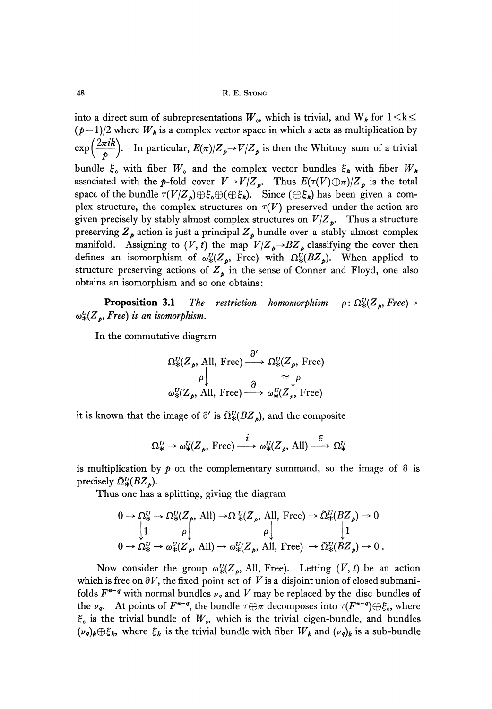48 R. E. STONG

into a direct sum of subrepresentations  $W_{\scriptscriptstyle 0}$ , which is trivial, and  $\mathrm{W}_k$  for  $1{\le}k{\le}$ *(p—l)/2* where *W<sup>k</sup>* is a complex vector space in which *s* acts as multiplication by  $\exp\left(\frac{2\pi i k}{\hbar}\right)$ . In particular,  $E(\pi)/Z_p \to V/Z_p$  is then the Whitney sum of a trivial bundle *ξ<sup>0</sup>* with fiber *W<sup>0</sup>* and the complex vector bundles *ξ<sup>k</sup>* with fiber *W<sup>k</sup>* associated with the p-fold cover  $V \rightarrow V/Z_p$ . Thus  $E(\tau(V) \oplus \pi)/Z_p$  is the total space of the bundle  $\tau(V/Z_p) \oplus \xi_0 \oplus (\oplus \xi_k)$ . Since  $(\oplus \xi_k)$  has been given a complex structure, the complex structures on  $\tau(V)$  preserved under the action are given precisely by stably almost complex structures on *V/Z<sup>p</sup> .* Thus a structure preserving *Z<sup>p</sup>* action is just a principal *Z<sup>p</sup>* bundle over a stably almost complex manifold. Assigning to  $(V, t)$  the map  $V/Z_p \rightarrow BZ_p$  classifying the cover then defines an isomorphism of  $\omega_*^U(Z_p,$  Free) with  $\Omega_*^U(BZ_p)$ . When applied to structure preserving actions of  $Z_p$  in the sense of Conner and Floyd, one also obtains an isomorphism and so one obtains:

**Proposition 3.1** The restriction homomorphism  $ρ: Ω_{\ast}^{U}(Z_p, Free) \rightarrow$ *ω%(Z<sup>p</sup> , Free) is an isomorphism.*

In the commutative diagram

$$
\Omega^U_*(Z_p, \text{ All, Free}) \xrightarrow{\partial'} \Omega^U_*(Z_p, \text{ Free})
$$
  
\n
$$
\rho \downarrow \qquad \qquad \rho \downarrow \qquad \qquad \cong \downarrow \rho
$$
  
\n
$$
\omega^U_*(Z_p, \text{ All, Free}) \xrightarrow{\partial} \omega^U_*(Z_p, \text{ Free})
$$

it is known that the image of  $\partial'$  is  $\tilde{\Omega}_{*}^{U}(BZ_{b})$ , and the composite

$$
\Omega_*^U \to \omega_*^U(Z_p, \text{ Free}) \xrightarrow{i} \omega_*^U(Z_p, \text{ All}) \xrightarrow{\varepsilon} \Omega_*^U
$$

is multiplication by  $p$  on the complementary summand, so the image of  $\partial$  is precisely *Ω%(BZ<sup>p</sup> ).*

Thus one has a splitting, giving the diagram

$$
0 \to \Omega_{\ast}^{U} \to \Omega_{\ast}^{U}(Z_{p}, \text{ All}) \to \Omega_{\ast}^{U}(Z_{p}, \text{ All, Free}) \to \tilde{\Omega}_{\ast}^{U}(BZ_{p}) \to 0
$$
  
\n
$$
\begin{vmatrix}\n1 & \rho \downarrow & \rho \downarrow & \downarrow \\
1 & \rho \downarrow & \rho \downarrow & \downarrow \\
0 \to \Omega_{\ast}^{U} \to \omega_{\ast}^{U}(Z_{p}, \text{ All}) \to \omega_{\ast}^{U}(Z_{p}, \text{ All, Free}) \to \tilde{\Omega}_{\ast}^{U}(BZ_{p}) \to 0.
$$

Now consider the group  $\omega_*^U(Z_p,$  All, Free). Letting  $(V, t)$  be an action which is free on  $\partial V$ , the fixed point set of V is a disjoint union of closed submanifolds  $F^{n-q}$  with normal bundles  $\nu_q$  and  $V$  may be replaced by the disc bundles of the  $\nu_q$ . At points of  $F^{n-q}$ , the bundle  $\tau \oplus \pi$  decomposes into  $\tau(F^{n-q}) \oplus \xi_o$ , where  $\xi_{\mathfrak{o}}$  is the trivial bundle of  $W_{\mathfrak{o}},$  which is the trivial eigen-bundle, and bundles *k*, where  $\xi_k$  is the trivial bundle with fiber  $W_k$  and  $(\nu_q)_k$  is a sub-bundle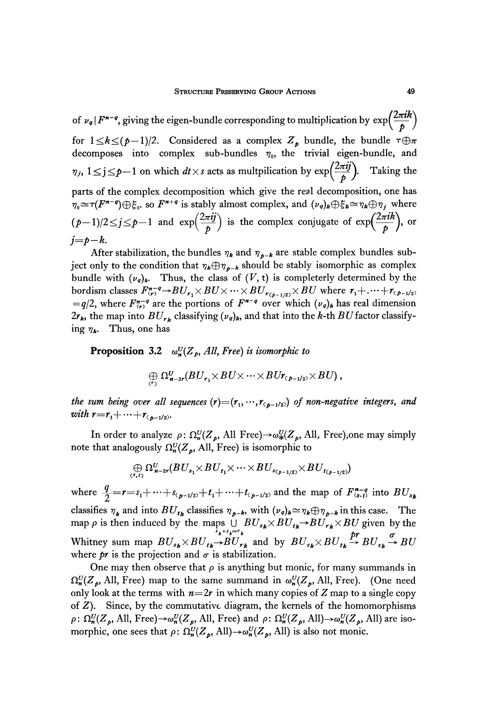of  $\nu_q | F^{n-q}$ , giving the eigen-bundle corresponding to multiplication by  $\exp\left(\frac{2\pi i R}{\hbar}\right)$ for  $1 \leq k \leq (p-1)/2$ . Considered as a complex  $Z_p$  bundle, the bundle  $\tau \oplus \pi$ decomposes into complex sub-bundles *η<sup>0</sup> ,* the trivial eigen-bundle, and  $\eta_j$ ,  $1 \le j \le p-1$  on which  $dt \times s$  acts as multpilication by  $\exp\left(\frac{2\pi ij}{\hbar}\right)$ . Taking the parts of the complex decomposition which give the real decomposition, one has *v*<sub>*s*</sub> so  $F^{n+q}$  is stably almost complex, and  $(\nu_q)_k \oplus \xi_k \cong \eta_k \oplus \eta_j$  where  $(p-1)/2 \le j \le p-1$  and  $\exp\left(\frac{2\pi ij}{p}\right)$  is the complex conjugate of  $\exp\left(\frac{2\pi i k}{p}\right)$ , or  $j=p-k$ .

After stabilization, the bundles  $\eta_k$  and  $\eta_{p-k}$  are stable complex bundles subject only to the condition that  $\eta_k \oplus \eta_{k-k}$  should be stably isomorphic as complex bundle with  $(\nu_q)_k$ . Thus, the class of  $(V, t)$  is completerly determined by the bordism classes  $F_{(r)}^{n-q} \to BU_{r_1} \times BU \times \cdots \times BU_{r_{(p-1/2)}} \times BU$  where  $r_1 + \cdots + r_{(p-1/2)}$  $=q/2$ , where  $F_{(r)}^{n-q}$  are the portions of  $F^{n-q}$  over which  $(v_q)_k$  has real dimension  $2r_{k}$ , the map into  $BU_{rk}$  classifying  $(v_q)_k$ , and that into the k-th  $BU$  factor classifying *η<sup>k</sup> .* Thus, one has

**Proposition** 3.2 *ω%(Z<sup>p</sup> , All, Free) is isomorphic to*

$$
\bigoplus_{(r)} \Omega^U_{n-2r}(BU_{r_1} \times BU \times \cdots \times BU_{r_{(p-1/2)}} \times BU),
$$

the sum being over all sequences  $(r){=}(r_{\scriptscriptstyle 1}, {\scriptscriptstyle \cdots}, r_{\scriptscriptstyle (\not\! p-1/2)})$  of non-negative integers, and *with*  $r = r_1 + \cdots + r_{(p-1/2)}$ .

In order to analyze  $\rho: \Omega_n^U(Z_p)$ , All Free) $\rightarrow \omega_*^U(Z_p)$ , All, Free), one may simply note that analogously *Ω%(Z<sup>p</sup> ,* All, Free) is isomorphic to

$$
\bigoplus_{(s,t)} \Omega^U_{n-2r}(BU_{s_1}\times BU_{t_1}\times \cdots \times BU_{s_{(p-1/2)}}\times BU_{t_{(p-1/2)}})
$$

where  $\frac{q}{2} = r = s_1 + \dots + s_{(p-1/2)} + t_1 + \dots + t_{(p-1/2)}$  and the map of  $F_{(s,t)}^{n-q}$  into  $BU_s$ classifies  $\eta_k$  and into  $BU_{tk}$  classifies  $\eta_{p-k}$ , with  $(\nu_q)_k \approx \eta_k \oplus \eta_{p-k}$  in this case. The map *p* is then induced by the maps  $\bigcup_{s_k + t_k = r_k} BU_{s_k} \times BU_{t_k} \rightarrow BU_{r_k} \times BU$  given by the Whitney sum map  $BU_{s_k} \times BU_{t_k} \rightarrow BU_{r_k}$  and by  $BU_{s_k} \times BU_{t_k} \stackrel{pr}{\rightarrow} BU_{s_k} \stackrel{\sigma}{\rightarrow} BU$ where  $pr$  is the projection and  $\sigma$  is stabilization.

One may then observe that  $\rho$  is anything but monic, for many summands in *Ω%(Z<sup>p</sup> ,* All, Free) map to the same summand in *ω%(Z<sup>p</sup> ,* All, Free). (One need only look at the terms with  $n=2r$  in which many copies of Z map to a single copy of *Z).* Since, by the commutative diagram, the kernels of the homomorphisms  $\rho: \Omega_n^U(Z_p, \text{All, Free}) \rightarrow \omega_n^U(Z_p, \text{All, Free})$  and  $\rho: \Omega_n^U(Z_p, \text{All}) \rightarrow \omega_n^U(Z_p, \text{All})$  are isomorphic, one sees that  $\rho: \Omega_n^U(Z_p, \text{All}) \to \omega_n^U(Z_p, \text{All})$  is also not monic.